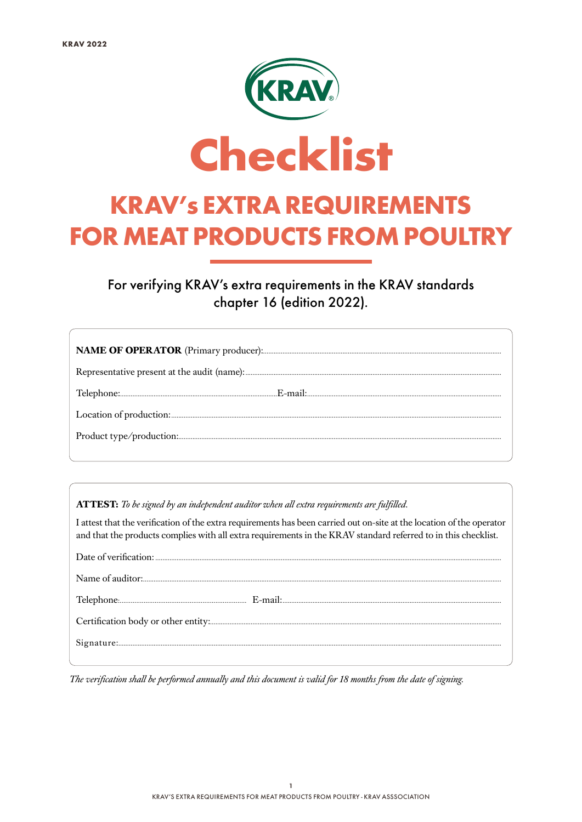

For verifying KRAV's extra requirements in the KRAV standards chapter 16 (edition 2022).

ATTEST: To be signed by an independent auditor when all extra requirements are fulfilled.

I attest that the verification of the extra requirements has been carried out on-site at the location of the operator and that the products complies with all extra requirements in the KRAV standard referred to in this checklist.

The verification shall be performed annually and this document is valid for 18 months from the date of signing.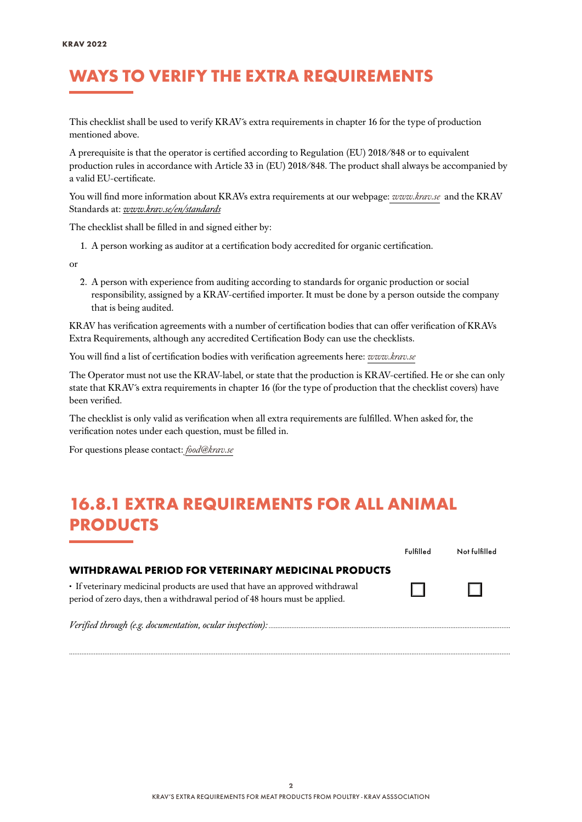#### WAYS TO VERIFY THE EXTRA REQUIREMENTS

This checklist shall be used to verify KRAV´s extra requirements in chapter 16 for the type of production mentioned above.

A prerequisite is that the operator is certified according to Regulation (EU) 2018/848 or to equivalent production rules in accordance with Article 33 in (EU) 2018/848. The product shall always be accompanied by a valid EU-certificate.

You will find more information about KRAVs extra requirements at our webpage: *[www.krav.se](www.krav.se/en/for-companies/extra-requirements-for-all-products/)* and the KRAV Standards at: *[www.krav.se/en/standards](https://www.krav.se/en/standards)*

The checklist shall be filled in and signed either by:

1. A person working as auditor at a certification body accredited for organic certification.

or

2. A person with experience from auditing according to standards for organic production or social responsibility, assigned by a KRAV-certified importer. It must be done by a person outside the company that is being audited.

KRAV has verification agreements with a number of certification bodies that can offer verification of KRAVs Extra Requirements, although any accredited Certification Body can use the checklists.

You will find a list of certification bodies with verification agreements here: *[www.krav.se](https://www.krav.se/en/asset/certification-bodies-with-verification-agreement/)*

The Operator must not use the KRAV-label, or state that the production is KRAV-certified. He or she can only state that KRAV´s extra requirements in chapter 16 (for the type of production that the checklist covers) have been verified.

The checklist is only valid as verification when all extra requirements are fulfilled. When asked for, the verification notes under each question, must be filled in.

For questions please contact: *[food@krav.se](mailto:food%40krav.se?subject=From%20extra%20requirements)*

#### 16.8.1 EXTRA REQUIREMENTS FOR ALL ANIMAL PRODUCTS

|                                                                                                                                                            | <b>Fulfilled</b> | Not fulfilled |
|------------------------------------------------------------------------------------------------------------------------------------------------------------|------------------|---------------|
| WITHDRAWAL PERIOD FOR VETERINARY MEDICINAL PRODUCTS                                                                                                        |                  |               |
| • If veterinary medicinal products are used that have an approved withdrawal<br>period of zero days, then a withdrawal period of 48 hours must be applied. |                  | $\mathbf{1}$  |
|                                                                                                                                                            |                  |               |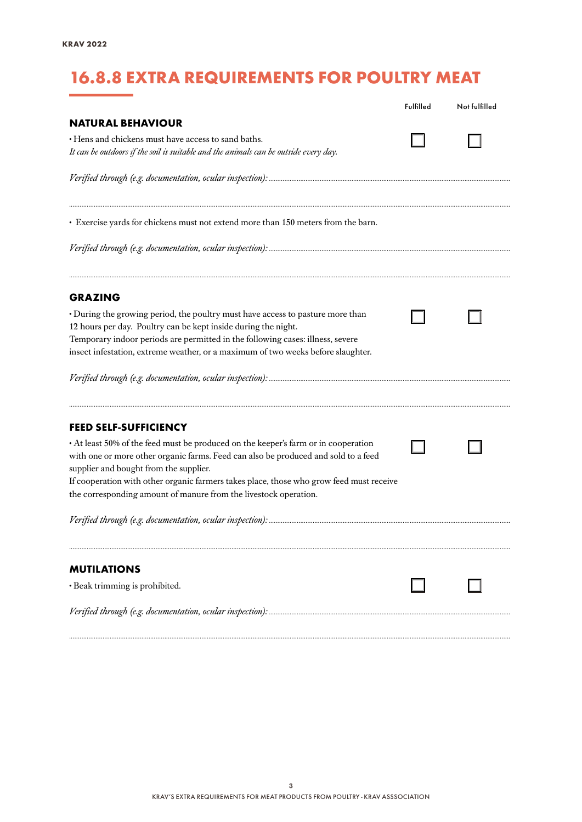# 16.8.8 EXTRA REQUIREMENTS FOR POULTRY MEAT

|                                                                                                                                                                                                                                                                                                                                                                                   | Fulfilled | Not fulfilled |
|-----------------------------------------------------------------------------------------------------------------------------------------------------------------------------------------------------------------------------------------------------------------------------------------------------------------------------------------------------------------------------------|-----------|---------------|
| <b>NATURAL BEHAVIOUR</b>                                                                                                                                                                                                                                                                                                                                                          |           |               |
| · Hens and chickens must have access to sand baths.<br>It can be outdoors if the soil is suitable and the animals can be outside every day.                                                                                                                                                                                                                                       |           |               |
|                                                                                                                                                                                                                                                                                                                                                                                   |           |               |
| · Exercise yards for chickens must not extend more than 150 meters from the barn.                                                                                                                                                                                                                                                                                                 |           |               |
|                                                                                                                                                                                                                                                                                                                                                                                   |           |               |
| <b>GRAZING</b>                                                                                                                                                                                                                                                                                                                                                                    |           |               |
| · During the growing period, the poultry must have access to pasture more than<br>12 hours per day. Poultry can be kept inside during the night.<br>Temporary indoor periods are permitted in the following cases: illness, severe<br>insect infestation, extreme weather, or a maximum of two weeks before slaughter.                                                            |           |               |
|                                                                                                                                                                                                                                                                                                                                                                                   |           |               |
| <b>FEED SELF-SUFFICIENCY</b>                                                                                                                                                                                                                                                                                                                                                      |           |               |
| • At least 50% of the feed must be produced on the keeper's farm or in cooperation<br>with one or more other organic farms. Feed can also be produced and sold to a feed<br>supplier and bought from the supplier.<br>If cooperation with other organic farmers takes place, those who grow feed must receive<br>the corresponding amount of manure from the livestock operation. |           |               |
|                                                                                                                                                                                                                                                                                                                                                                                   |           |               |
| <b>MUTILATIONS</b>                                                                                                                                                                                                                                                                                                                                                                |           |               |
| · Beak trimming is prohibited.                                                                                                                                                                                                                                                                                                                                                    |           |               |
|                                                                                                                                                                                                                                                                                                                                                                                   |           |               |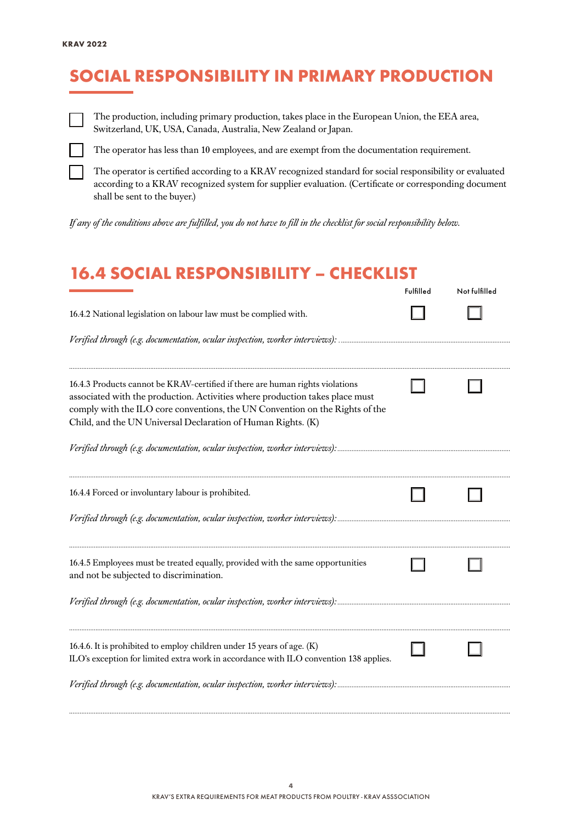## SOCIAL RESPONSIBILITY IN PRIMARY PRODUCTION



The production, including primary production, takes place in the European Union, the EEA area, Switzerland, UK, USA, Canada, Australia, New Zealand or Japan.



The operator has less than 10 employees, and are exempt from the documentation requirement.

The operator is certified according to a KRAV recognized standard for social responsibility or evaluated according to a KRAV recognized system for supplier evaluation. (Certificate or corresponding document shall be sent to the buyer.)

*If any of the conditions above are fulfilled, you do not have to fill in the checklist for social responsibility below.*

#### 16.4 SOCIAL RESPONSIBILITY – CHECKLIST

|                                                                                                                                                                                                                                                                                                               | Fulfilled | Not fulfilled |
|---------------------------------------------------------------------------------------------------------------------------------------------------------------------------------------------------------------------------------------------------------------------------------------------------------------|-----------|---------------|
| 16.4.2 National legislation on labour law must be complied with.                                                                                                                                                                                                                                              |           |               |
|                                                                                                                                                                                                                                                                                                               |           |               |
| 16.4.3 Products cannot be KRAV-certified if there are human rights violations<br>associated with the production. Activities where production takes place must<br>comply with the ILO core conventions, the UN Convention on the Rights of the<br>Child, and the UN Universal Declaration of Human Rights. (K) |           |               |
|                                                                                                                                                                                                                                                                                                               |           |               |
| 16.4.4 Forced or involuntary labour is prohibited.                                                                                                                                                                                                                                                            |           |               |
|                                                                                                                                                                                                                                                                                                               |           |               |
| 16.4.5 Employees must be treated equally, provided with the same opportunities<br>and not be subjected to discrimination.                                                                                                                                                                                     |           |               |
|                                                                                                                                                                                                                                                                                                               |           |               |
| 16.4.6. It is prohibited to employ children under 15 years of age. (K)<br>ILO's exception for limited extra work in accordance with ILO convention 138 applies.                                                                                                                                               |           |               |
| Verified through (e.g. documentation, ocular inspection, worker interviews):                                                                                                                                                                                                                                  |           |               |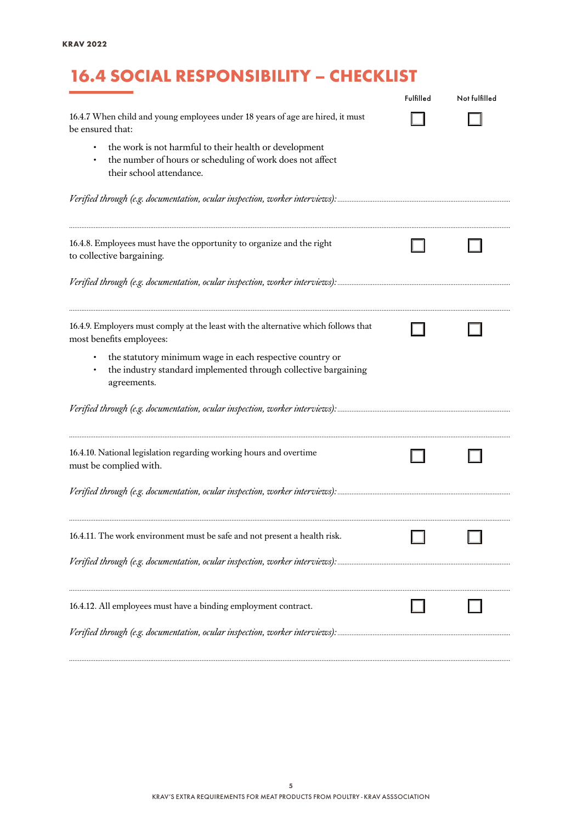# 16.4 SOCIAL RESPONSIBILITY – CHECKLIST

|                                                                                                                                                 | Fulfilled | Not fulfilled |
|-------------------------------------------------------------------------------------------------------------------------------------------------|-----------|---------------|
| 16.4.7 When child and young employees under 18 years of age are hired, it must<br>be ensured that:                                              |           |               |
| the work is not harmful to their health or development<br>the number of hours or scheduling of work does not affect<br>their school attendance. |           |               |
|                                                                                                                                                 |           |               |
| 16.4.8. Employees must have the opportunity to organize and the right<br>to collective bargaining.                                              |           |               |
|                                                                                                                                                 |           |               |
| 16.4.9. Employers must comply at the least with the alternative which follows that<br>most benefits employees:                                  |           |               |
| the statutory minimum wage in each respective country or<br>the industry standard implemented through collective bargaining<br>agreements.      |           |               |
|                                                                                                                                                 |           |               |
| 16.4.10. National legislation regarding working hours and overtime<br>must be complied with.                                                    |           |               |
|                                                                                                                                                 |           |               |
| 16.4.11. The work environment must be safe and not present a health risk.                                                                       |           |               |
|                                                                                                                                                 |           |               |
| 16.4.12. All employees must have a binding employment contract.                                                                                 |           |               |
|                                                                                                                                                 |           |               |